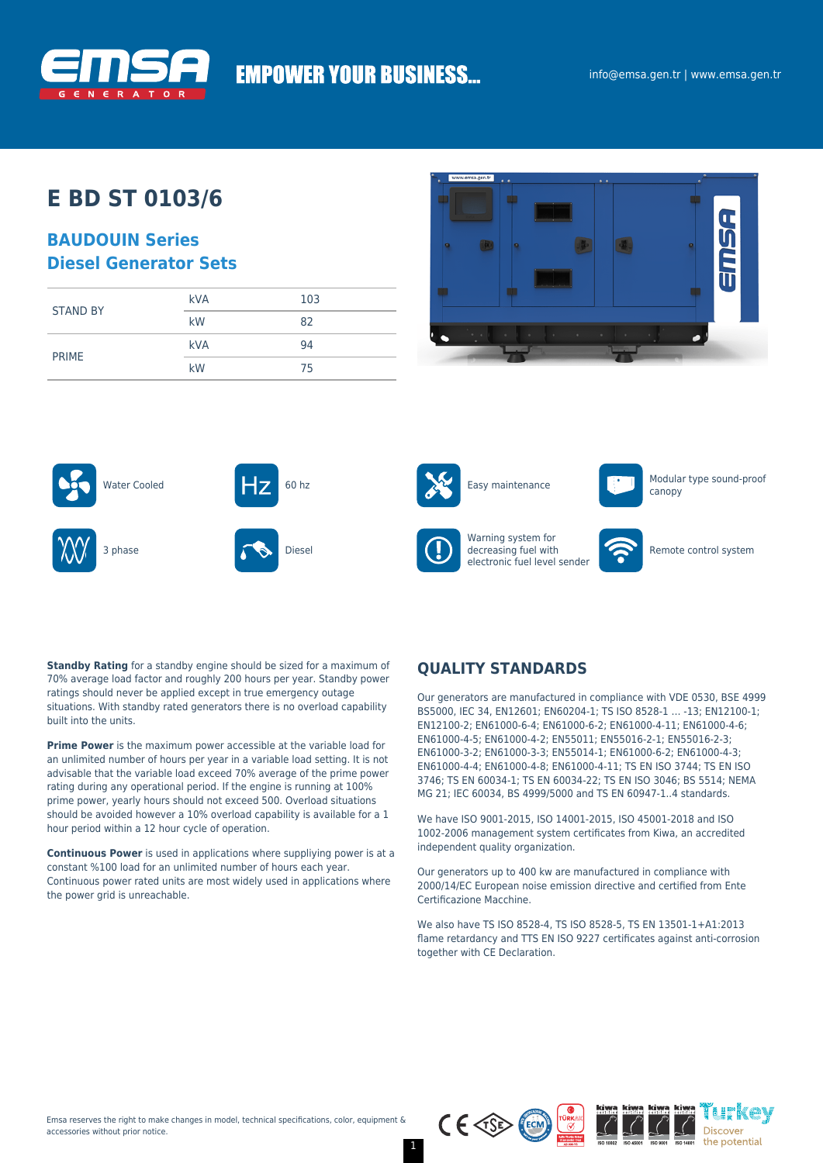

# **EMPOWER YOUR BUSINESS...**

## **E BD ST 0103/6**

### **BAUDOUIN Series Diesel Generator Sets**

| <b>STAND BY</b> | <b>kVA</b> | 103 |
|-----------------|------------|-----|
|                 | kW         | 82  |
| <b>PRIME</b>    | <b>kVA</b> | 94  |
|                 | kW         | 75  |







Warning system for decreasing fuel with electronic fuel level sender





canopy



**Standby Rating** for a standby engine should be sized for a maximum of 70% average load factor and roughly 200 hours per year. Standby power ratings should never be applied except in true emergency outage situations. With standby rated generators there is no overload capability built into the units.

**Prime Power** is the maximum power accessible at the variable load for an unlimited number of hours per year in a variable load setting. It is not advisable that the variable load exceed 70% average of the prime power rating during any operational period. If the engine is running at 100% prime power, yearly hours should not exceed 500. Overload situations should be avoided however a 10% overload capability is available for a 1 hour period within a 12 hour cycle of operation.

**Continuous Power** is used in applications where suppliying power is at a constant %100 load for an unlimited number of hours each year. Continuous power rated units are most widely used in applications where the power grid is unreachable.

### **QUALITY STANDARDS**

Our generators are manufactured in compliance with VDE 0530, BSE 4999 BS5000, IEC 34, EN12601; EN60204-1; TS ISO 8528-1 … -13; EN12100-1; EN12100-2; EN61000-6-4; EN61000-6-2; EN61000-4-11; EN61000-4-6; EN61000-4-5; EN61000-4-2; EN55011; EN55016-2-1; EN55016-2-3; EN61000-3-2; EN61000-3-3; EN55014-1; EN61000-6-2; EN61000-4-3; EN61000-4-4; EN61000-4-8; EN61000-4-11; TS EN ISO 3744; TS EN ISO 3746; TS EN 60034-1; TS EN 60034-22; TS EN ISO 3046; BS 5514; NEMA MG 21; IEC 60034, BS 4999/5000 and TS EN 60947-1..4 standards.

We have ISO 9001-2015, ISO 14001-2015, ISO 45001-2018 and ISO 1002-2006 management system certificates from Kiwa, an accredited independent quality organization.

Our generators up to 400 kw are manufactured in compliance with 2000/14/EC European noise emission directive and certified from Ente Certificazione Macchine.

We also have TS ISO 8528-4, TS ISO 8528-5, TS EN 13501-1+A1:2013 flame retardancy and TTS EN ISO 9227 certificates against anti-corrosion together with CE Declaration.

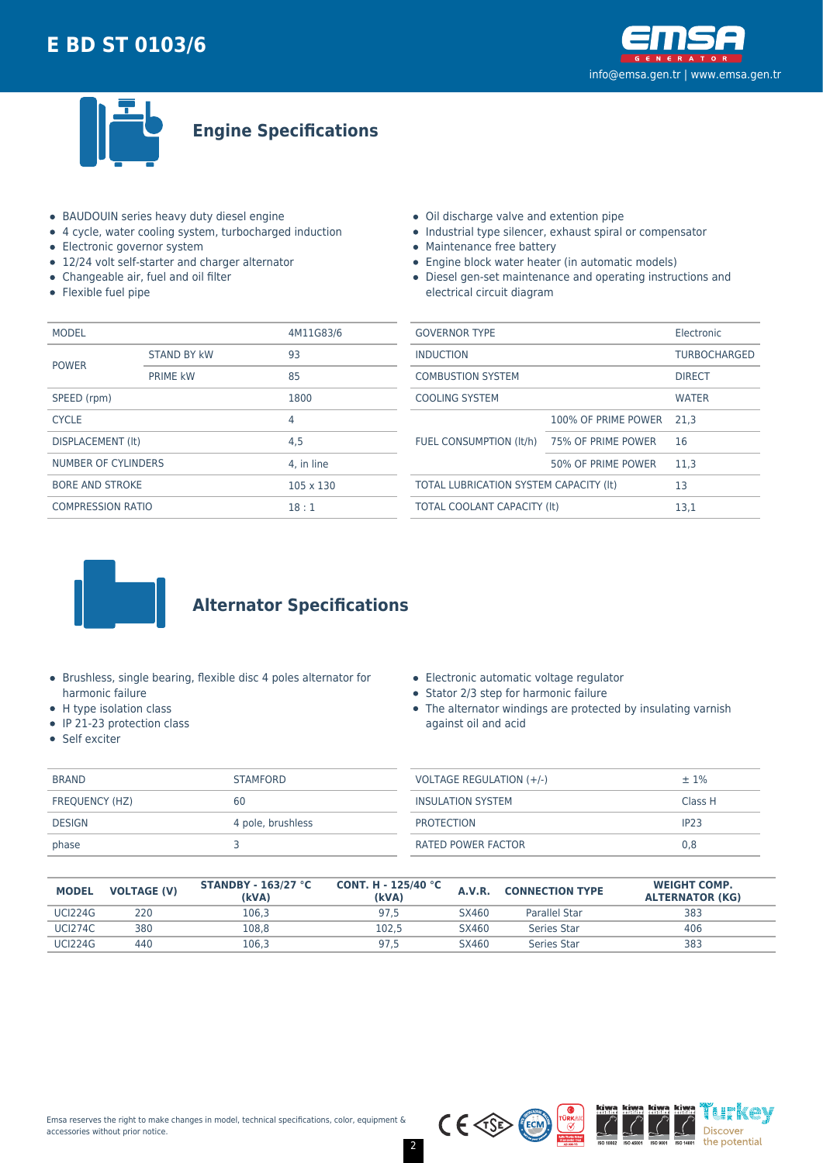



**Engine Specifications**

- BAUDOUIN series heavy duty diesel engine
- 4 cycle, water cooling system, turbocharged induction
- Electronic governor system
- 12/24 volt self-starter and charger alternator
- Changeable air, fuel and oil filter
- Flexible fuel pipe
- Oil discharge valve and extention pipe
- Industrial type silencer, exhaust spiral or compensator
- Maintenance free battery
- Engine block water heater (in automatic models)
- Diesel gen-set maintenance and operating instructions and electrical circuit diagram

| <b>MODEL</b>             |                    | 4M11G83/6  |  |
|--------------------------|--------------------|------------|--|
| <b>POWER</b>             | <b>STAND BY kW</b> | 93         |  |
|                          | <b>PRIME kW</b>    | 85         |  |
| SPEED (rpm)              |                    | 1800       |  |
| <b>CYCLE</b>             |                    | 4          |  |
| <b>DISPLACEMENT (It)</b> |                    | 4.5        |  |
| NUMBER OF CYLINDERS      |                    | 4. in line |  |
| <b>BORE AND STROKE</b>   |                    | 105 x 130  |  |
| <b>COMPRESSION RATIO</b> |                    | 18:1       |  |

| <b>GOVERNOR TYPE</b>                   |                     | Electronic          |  |
|----------------------------------------|---------------------|---------------------|--|
| <b>INDUCTION</b>                       |                     | <b>TURBOCHARGED</b> |  |
| <b>COMBUSTION SYSTEM</b>               | <b>DIRECT</b>       |                     |  |
| <b>COOLING SYSTEM</b>                  | <b>WATER</b>        |                     |  |
| <b>FUEL CONSUMPTION (It/h)</b>         | 100% OF PRIME POWER | 21.3                |  |
|                                        | 75% OF PRIME POWER  | 16                  |  |
|                                        | 50% OF PRIME POWER  | 11.3                |  |
| TOTAL LUBRICATION SYSTEM CAPACITY (It) | 13                  |                     |  |
| TOTAL COOLANT CAPACITY (It)            | 13.1                |                     |  |
|                                        |                     |                     |  |



## **Alternator Specifications**

- Brushless, single bearing, flexible disc 4 poles alternator for harmonic failure
- H type isolation class
- IP 21-23 protection class
- Self exciter
- Electronic automatic voltage regulator
- Stator 2/3 step for harmonic failure
- The alternator windings are protected by insulating varnish against oil and acid

| <b>BRAND</b>   | STAMFORD          | VOLTAGE REGULATION (+/-) | $±1\%$  |
|----------------|-------------------|--------------------------|---------|
| FREQUENCY (HZ) | 60                | INSULATION SYSTEM        | Class H |
| <b>DESIGN</b>  | 4 pole, brushless | PROTECTION               | IP23    |
| phase          |                   | RATED POWER FACTOR       | 0,8     |

| <b>MODEL</b>   | <b>VOLTAGE (V)</b> | STANDBY - $163/27$ °C<br>(kVA) | <b>CONT. H - 125/40 °C</b><br>(kVA) | A.V.R. | <b>CONNECTION TYPE</b> | <b>WEIGHT COMP.</b><br><b>ALTERNATOR (KG)</b> |
|----------------|--------------------|--------------------------------|-------------------------------------|--------|------------------------|-----------------------------------------------|
| <b>UCI224G</b> | 220                | 106.3                          | 97.5                                | SX460  | Parallel Star          | 383                                           |
| <b>UCI274C</b> | 380                | 108.8                          | 102.5                               | SX460  | Series Star            | 406                                           |
| <b>UCI224G</b> | 440                | 106.3                          | 97.5                                | SX460  | Series Star            | 383                                           |

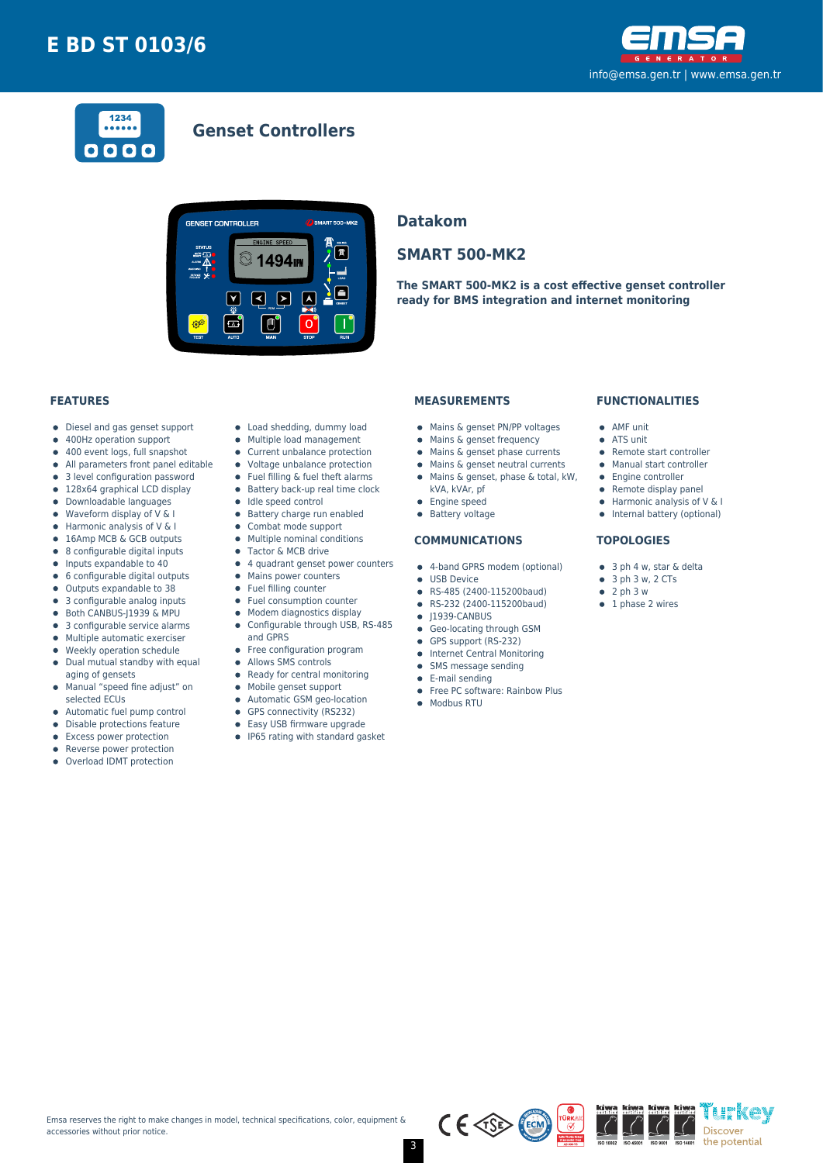



### **Genset Controllers**



### **Datakom**

### **SMART 500-MK2**

**The SMART 500-MK2 is a cost effective genset controller ready for BMS integration and internet monitoring**

#### **FEATURES**

- Diesel and gas genset support  $\bullet$
- 400Hz operation support  $\bullet$
- $\bullet$ 400 event logs, full snapshot
- All parameters front panel editable  $\bullet$
- 3 level configuration password
- 128x64 graphical LCD display  $\bullet$
- Downloadable languages
- $\bullet$ Waveform display of V & I  $\bullet$
- Harmonic analysis of V & I 16Amp MCB & GCB outputs
- 8 configurable digital inputs  $\bullet$
- $\bullet$ Inputs expandable to 40
- $\bullet$ 6 configurable digital outputs
- Outputs expandable to 38  $\bullet$
- 3 configurable analog inputs
- Both CANBUS-J1939 & MPU  $\bullet$
- 3 configurable service alarms  $\bullet$
- $\bullet$ Multiple automatic exerciser
- Weekly operation schedule  $\blacksquare$
- $\bullet$ Dual mutual standby with equal aging of gensets
- Manual "speed fine adjust" on  $\bullet$ selected ECUs
- 
- Automatic fuel pump control  $\bullet$
- $\bullet$ Disable protections feature
- Excess power protection
- Reverse power protection  $\bullet$
- Overload IDMT protection
- Load shedding, dummy load
- Multiple load management  $\bullet$
- Current unbalance protection
- Voltage unbalance protection
- $\bullet$ Fuel filling & fuel theft alarms
- $\bullet$  Battery back-up real time clock
- Idle speed control
- **•** Battery charge run enabled
- $\bullet$ Combat mode support
- $\bullet$ Multiple nominal conditions
- Tactor & MCB drive
- 4 quadrant genset power counters
- Mains power counters
- Fuel filling counter
- $\bullet$ Fuel consumption counter  $\bullet$
- Modem diagnostics display Configurable through USB, RS-485  $\bullet$
- and GPRS
- Free configuration program
- $\bullet$ Allows SMS controls
- $\bullet$ Ready for central monitoring
- Mobile genset support
- $\bullet$
- Automatic GSM geo-location  $\bullet$
- $\bullet$ GPS connectivity (RS232)
- $\bullet$ Easy USB firmware upgrade
- IP65 rating with standard gasket

#### **MEASUREMENTS**

- Mains & genset PN/PP voltages
- Mains & genset frequency
- $\bullet$  Mains & genset phase currents
- $\bullet$  Mains & genset neutral currents
- Mains & genset, phase & total, kW,
- kVA, kVAr, pf
- 
- **•** Engine speed
- **•** Battery voltage

#### **COMMUNICATIONS**

- 4-band GPRS modem (optional)
- **CONTRACTE OF LISR Device**
- RS-485 (2400-115200baud)
- RS-232 (2400-115200baud)
- $\bullet$  J1939-CANBUS
- **Geo-locating through GSM**
- GPS support (RS-232)
- **•** Internet Central Monitoring
- SMS message sending  $\bullet$
- E-mail sending
- Free PC software: Rainbow Plus
- Modbus RTU

#### **FUNCTIONALITIES**

- AMF unit
- ATS unit
- Remote start controller
- Manual start controller
- Engine controller
- $\bullet$  Remote display panel
- $\bullet$  Harmonic analysis of V & I
- Internal battery (optional)

'i h'kev

Discover the potential

#### **TOPOLOGIES**

- 3 ph 4 w, star & delta
- $\bullet$  3 ph 3 w, 2 CTs
- $\bullet$  2 ph 3 w
- $\bullet$  1 phase 2 wires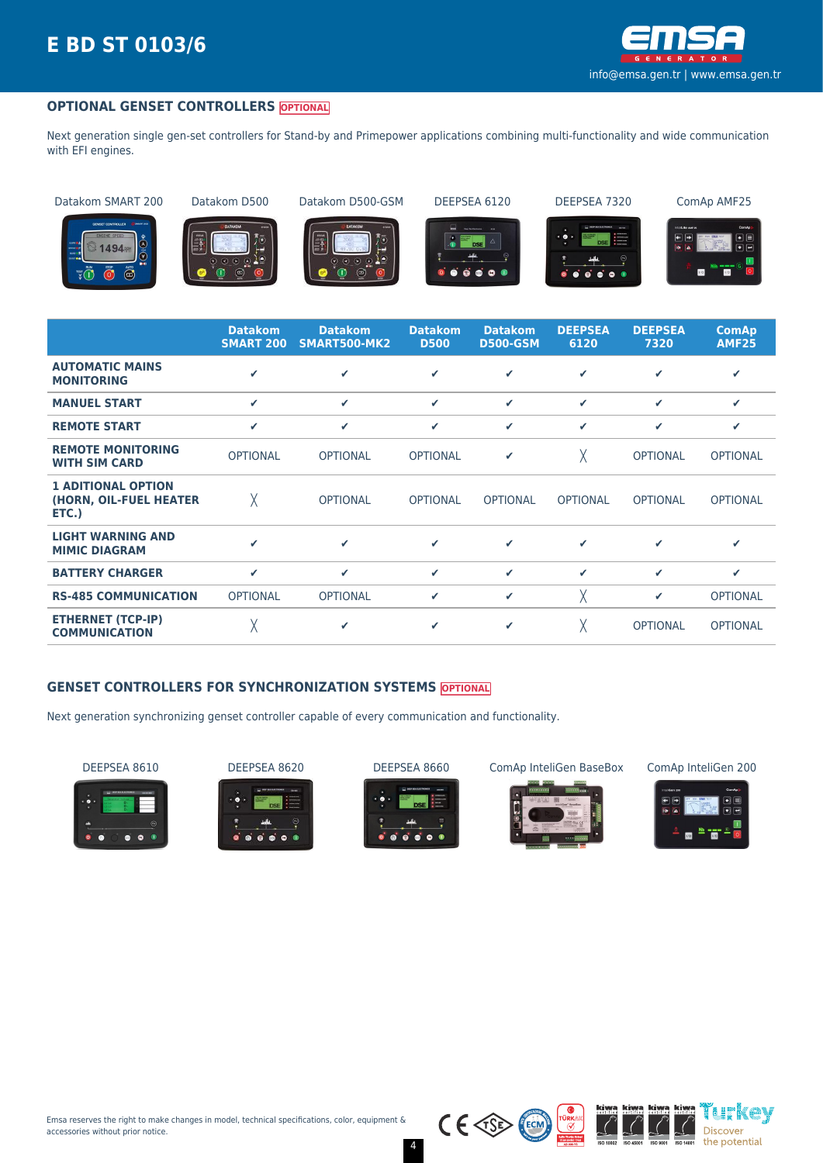

#### **OPTIONAL GENSET CONTROLLERS OPTIONAL**

Next generation single gen-set controllers for Stand-by and Primepower applications combining multi-functionality and wide communication with EFI engines.

Datakom SMART 200 Datakom D500 Datakom D500-GSM DEEPSEA 6120 DEEPSEA 7320 ComAp AMF25



















|                                                              | <b>Datakom</b><br><b>SMART 200</b> | <b>Datakom</b><br>SMART500-MK2 | <b>Datakom</b><br><b>D500</b> | <b>Datakom</b><br><b>D500-GSM</b> | <b>DEEPSEA</b><br>6120 | <b>DEEPSEA</b><br>7320 | <b>ComAp</b><br><b>AMF25</b> |
|--------------------------------------------------------------|------------------------------------|--------------------------------|-------------------------------|-----------------------------------|------------------------|------------------------|------------------------------|
| <b>AUTOMATIC MAINS</b><br><b>MONITORING</b>                  | ✔                                  | $\checkmark$                   | ✓                             | ✓                                 | ✔                      | ✔                      | ✔                            |
| <b>MANUEL START</b>                                          | ✓                                  | $\checkmark$                   | ✓                             | ✓                                 | ✓                      | ✔                      | ✔                            |
| <b>REMOTE START</b>                                          | ✔                                  | ✓                              | ✓                             | ✓                                 | ✓                      | ✔                      | ✔                            |
| <b>REMOTE MONITORING</b><br><b>WITH SIM CARD</b>             | <b>OPTIONAL</b>                    | <b>OPTIONAL</b>                | <b>OPTIONAL</b>               | ✔                                 | χ                      | <b>OPTIONAL</b>        | <b>OPTIONAL</b>              |
| <b>1 ADITIONAL OPTION</b><br>(HORN, OIL-FUEL HEATER<br>ETC.) | χ                                  | <b>OPTIONAL</b>                | <b>OPTIONAL</b>               | <b>OPTIONAL</b>                   | <b>OPTIONAL</b>        | <b>OPTIONAL</b>        | <b>OPTIONAL</b>              |
| <b>LIGHT WARNING AND</b><br><b>MIMIC DIAGRAM</b>             | ✔                                  | ✓                              | $\checkmark$                  | ✓                                 | ✔                      | ✔                      | ✔                            |
| <b>BATTERY CHARGER</b>                                       | $\checkmark$                       | $\checkmark$                   | ✔                             | ✓                                 | ✓                      | ✔                      | ✔                            |
| <b>RS-485 COMMUNICATION</b>                                  | <b>OPTIONAL</b>                    | <b>OPTIONAL</b>                | ✓                             | ✓                                 | χ                      | ✔                      | <b>OPTIONAL</b>              |
| <b>ETHERNET (TCP-IP)</b><br><b>COMMUNICATION</b>             | χ                                  | ✓                              | ✓                             | ✓                                 | χ                      | <b>OPTIONAL</b>        | <b>OPTIONAL</b>              |

#### **GENSET CONTROLLERS FOR SYNCHRONIZATION SYSTEMS OPTIONAL**

Next generation synchronizing genset controller capable of every communication and functionality.









DEEPSEA 8610 DEEPSEA 8620 DEEPSEA 8660 ComAp InteliGen BaseBox ComAp InteliGen 200







 $C \in \text{CSP}$